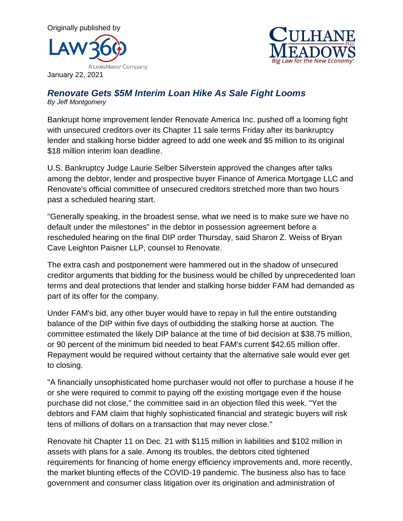



January 22, 2021

## *Renovate Gets \$5M Interim Loan Hike As Sale Fight Looms By Jeff Montgomery*

Bankrupt home improvement lender Renovate America Inc. pushed off a looming fight with unsecured creditors over its Chapter 11 sale terms Friday after its bankruptcy lender and stalking horse bidder agreed to add one week and \$5 million to its original \$18 million interim loan deadline.

U.S. Bankruptcy Judge Laurie Selber Silverstein approved the changes after talks among the debtor, lender and prospective buyer Finance of America Mortgage LLC and Renovate's official committee of unsecured creditors stretched more than two hours past a scheduled hearing start.

"Generally speaking, in the broadest sense, what we need is to make sure we have no default under the milestones" in the debtor in possession agreement before a rescheduled hearing on the final DIP order Thursday, said Sharon Z. Weiss of Bryan Cave Leighton Paisner LLP, counsel to Renovate.

The extra cash and postponement were hammered out in the shadow of unsecured creditor arguments that bidding for the business would be chilled by unprecedented loan terms and deal protections that lender and stalking horse bidder FAM had demanded as part of its offer for the company.

Under FAM's bid, any other buyer would have to repay in full the entire outstanding balance of the DIP within five days of outbidding the stalking horse at auction. The committee estimated the likely DIP balance at the time of bid decision at \$38.75 million, or 90 percent of the minimum bid needed to beat FAM's current \$42.65 million offer. Repayment would be required without certainty that the alternative sale would ever get to closing.

"A financially unsophisticated home purchaser would not offer to purchase a house if he or she were required to commit to paying off the existing mortgage even if the house purchase did not close," the committee said in an objection filed this week. "Yet the debtors and FAM claim that highly sophisticated financial and strategic buyers will risk tens of millions of dollars on a transaction that may never close."

Renovate hit Chapter 11 on Dec. 21 with \$115 million in liabilities and \$102 million in assets with plans for a sale. Among its troubles, the debtors cited tightened requirements for financing of home energy efficiency improvements and, more recently, the market blunting effects of the COVID-19 pandemic. The business also has to face government and consumer class litigation over its origination and administration of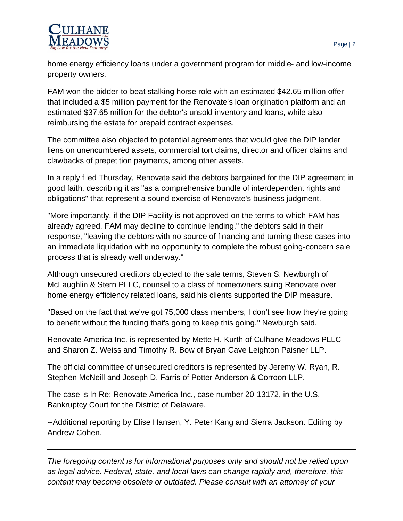

home energy efficiency loans under a government program for middle- and low-income property owners.

FAM won the bidder-to-beat stalking horse role with an estimated \$42.65 million offer that included a \$5 million payment for the Renovate's loan origination platform and an estimated \$37.65 million for the debtor's unsold inventory and loans, while also reimbursing the estate for prepaid contract expenses.

The committee also objected to potential agreements that would give the DIP lender liens on unencumbered assets, commercial tort claims, director and officer claims and clawbacks of prepetition payments, among other assets.

In a reply filed Thursday, Renovate said the debtors bargained for the DIP agreement in good faith, describing it as "as a comprehensive bundle of interdependent rights and obligations" that represent a sound exercise of Renovate's business judgment.

"More importantly, if the DIP Facility is not approved on the terms to which FAM has already agreed, FAM may decline to continue lending," the debtors said in their response, "leaving the debtors with no source of financing and turning these cases into an immediate liquidation with no opportunity to complete the robust going-concern sale process that is already well underway."

Although unsecured creditors objected to the sale terms, Steven S. Newburgh of McLaughlin & Stern PLLC, counsel to a class of homeowners suing Renovate over home energy efficiency related loans, said his clients supported the DIP measure.

"Based on the fact that we've got 75,000 class members, I don't see how they're going to benefit without the funding that's going to keep this going," Newburgh said.

Renovate America Inc. is represented by Mette H. Kurth of Culhane Meadows PLLC and Sharon Z. Weiss and Timothy R. Bow of Bryan Cave Leighton Paisner LLP.

The official committee of unsecured creditors is represented by Jeremy W. Ryan, R. Stephen McNeill and Joseph D. Farris of Potter Anderson & Corroon LLP.

The case is In Re: Renovate America Inc., case number 20-13172, in the U.S. Bankruptcy Court for the District of Delaware.

--Additional reporting by Elise Hansen, Y. Peter Kang and Sierra Jackson. Editing by Andrew Cohen.

*The foregoing content is for informational purposes only and should not be relied upon as legal advice. Federal, state, and local laws can change rapidly and, therefore, this content may become obsolete or outdated. Please consult with an attorney of your*